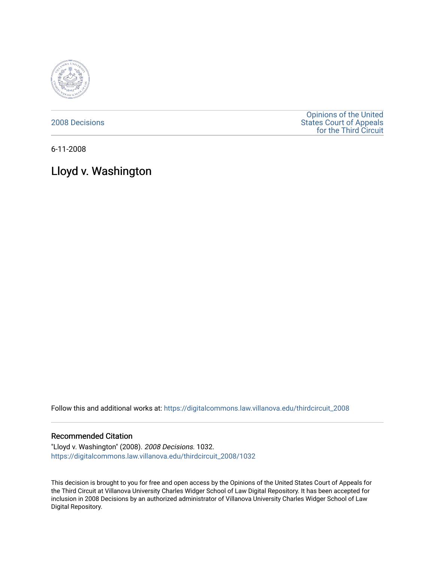

[2008 Decisions](https://digitalcommons.law.villanova.edu/thirdcircuit_2008)

[Opinions of the United](https://digitalcommons.law.villanova.edu/thirdcircuit)  [States Court of Appeals](https://digitalcommons.law.villanova.edu/thirdcircuit)  [for the Third Circuit](https://digitalcommons.law.villanova.edu/thirdcircuit) 

6-11-2008

# Lloyd v. Washington

Follow this and additional works at: [https://digitalcommons.law.villanova.edu/thirdcircuit\\_2008](https://digitalcommons.law.villanova.edu/thirdcircuit_2008?utm_source=digitalcommons.law.villanova.edu%2Fthirdcircuit_2008%2F1032&utm_medium=PDF&utm_campaign=PDFCoverPages) 

#### Recommended Citation

"Lloyd v. Washington" (2008). 2008 Decisions. 1032. [https://digitalcommons.law.villanova.edu/thirdcircuit\\_2008/1032](https://digitalcommons.law.villanova.edu/thirdcircuit_2008/1032?utm_source=digitalcommons.law.villanova.edu%2Fthirdcircuit_2008%2F1032&utm_medium=PDF&utm_campaign=PDFCoverPages) 

This decision is brought to you for free and open access by the Opinions of the United States Court of Appeals for the Third Circuit at Villanova University Charles Widger School of Law Digital Repository. It has been accepted for inclusion in 2008 Decisions by an authorized administrator of Villanova University Charles Widger School of Law Digital Repository.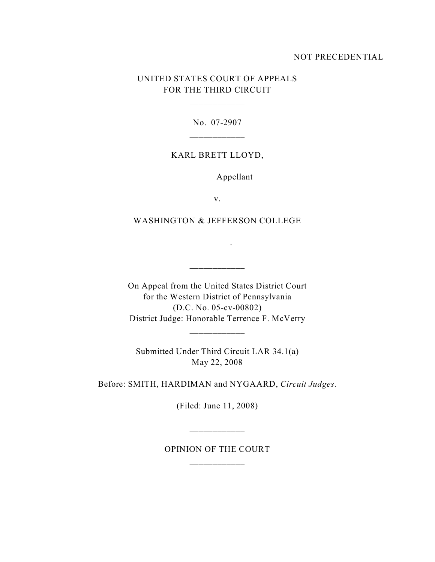## NOT PRECEDENTIAL

# UNITED STATES COURT OF APPEALS FOR THE THIRD CIRCUIT

\_\_\_\_\_\_\_\_\_\_\_\_

No. 07-2907

\_\_\_\_\_\_\_\_\_\_\_\_

#### KARL BRETT LLOYD,

Appellant

v.

### WASHINGTON & JEFFERSON COLLEGE

.

On Appeal from the United States District Court for the Western District of Pennsylvania (D.C. No. 05-cv-00802) District Judge: Honorable Terrence F. McVerry

Submitted Under Third Circuit LAR 34.1(a) May 22, 2008

\_\_\_\_\_\_\_\_\_\_\_\_

Before: SMITH, HARDIMAN and NYGAARD, *Circuit Judges*.

(Filed: June 11, 2008)

OPINION OF THE COURT \_\_\_\_\_\_\_\_\_\_\_\_

\_\_\_\_\_\_\_\_\_\_\_\_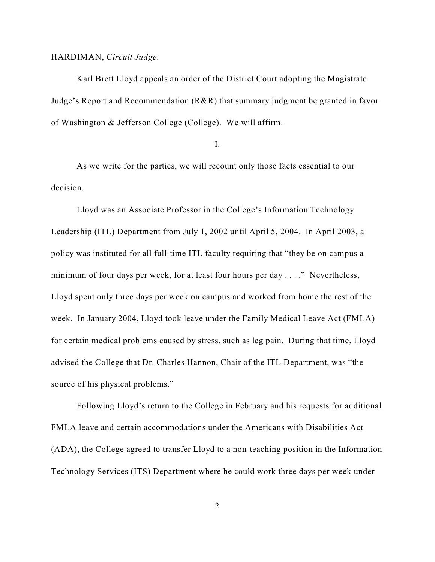#### HARDIMAN, *Circuit Judge*.

Karl Brett Lloyd appeals an order of the District Court adopting the Magistrate Judge's Report and Recommendation (R&R) that summary judgment be granted in favor of Washington & Jefferson College (College). We will affirm.

I.

As we write for the parties, we will recount only those facts essential to our decision.

Lloyd was an Associate Professor in the College's Information Technology Leadership (ITL) Department from July 1, 2002 until April 5, 2004. In April 2003, a policy was instituted for all full-time ITL faculty requiring that "they be on campus a minimum of four days per week, for at least four hours per day . . . ." Nevertheless, Lloyd spent only three days per week on campus and worked from home the rest of the week. In January 2004, Lloyd took leave under the Family Medical Leave Act (FMLA) for certain medical problems caused by stress, such as leg pain. During that time, Lloyd advised the College that Dr. Charles Hannon, Chair of the ITL Department, was "the source of his physical problems."

Following Lloyd's return to the College in February and his requests for additional FMLA leave and certain accommodations under the Americans with Disabilities Act (ADA), the College agreed to transfer Lloyd to a non-teaching position in the Information Technology Services (ITS) Department where he could work three days per week under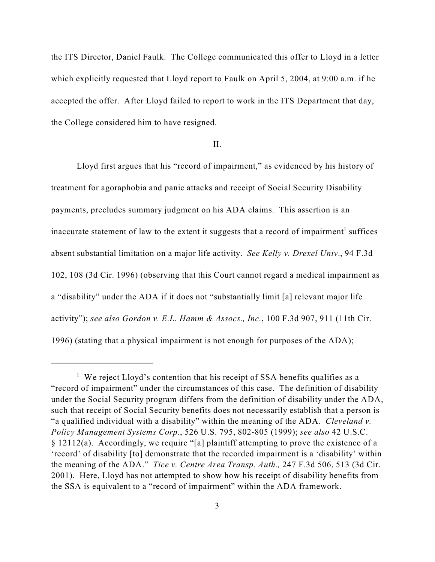the ITS Director, Daniel Faulk. The College communicated this offer to Lloyd in a letter which explicitly requested that Lloyd report to Faulk on April 5, 2004, at 9:00 a.m. if he accepted the offer. After Lloyd failed to report to work in the ITS Department that day, the College considered him to have resigned.

#### II.

Lloyd first argues that his "record of impairment," as evidenced by his history of treatment for agoraphobia and panic attacks and receipt of Social Security Disability payments, precludes summary judgment on his ADA claims. This assertion is an inaccurate statement of law to the extent it suggests that a record of impairment<sup>1</sup> suffices absent substantial limitation on a major life activity. *See Kelly v. Drexel Univ*., 94 F.3d 102, 108 (3d Cir. 1996) (observing that this Court cannot regard a medical impairment as a "disability" under the ADA if it does not "substantially limit [a] relevant major life activity"); *see also Gordon v. E.L. Hamm & Assocs., Inc.*, 100 F.3d 907, 911 (11th Cir. 1996) (stating that a physical impairment is not enough for purposes of the ADA);

<sup>&</sup>lt;sup>1</sup> We reject Lloyd's contention that his receipt of SSA benefits qualifies as a "record of impairment" under the circumstances of this case. The definition of disability under the Social Security program differs from the definition of disability under the ADA, such that receipt of Social Security benefits does not necessarily establish that a person is "a qualified individual with a disability" within the meaning of the ADA. *Cleveland v. Policy Management Systems Corp.*, 526 U.S. 795, 802-805 (1999); *see also* 42 U.S.C. § 12112(a). Accordingly, we require "[a] plaintiff attempting to prove the existence of a 'record' of disability [to] demonstrate that the recorded impairment is a 'disability' within the meaning of the ADA." *Tice v. Centre Area Transp. Auth.,* 247 F.3d 506, 513 (3d Cir. 2001). Here, Lloyd has not attempted to show how his receipt of disability benefits from the SSA is equivalent to a "record of impairment" within the ADA framework.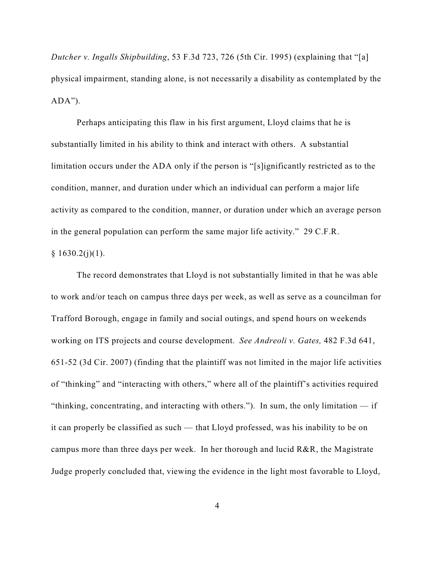*Dutcher v. Ingalls Shipbuilding*, 53 F.3d 723, 726 (5th Cir. 1995) (explaining that "[a] physical impairment, standing alone, is not necessarily a disability as contemplated by the  $ADA$ ").

Perhaps anticipating this flaw in his first argument, Lloyd claims that he is substantially limited in his ability to think and interact with others. A substantial limitation occurs under the ADA only if the person is "[s]ignificantly restricted as to the condition, manner, and duration under which an individual can perform a major life activity as compared to the condition, manner, or duration under which an average person in the general population can perform the same major life activity." 29 C.F.R.  $§ 1630.2(j)(1).$ 

The record demonstrates that Lloyd is not substantially limited in that he was able to work and/or teach on campus three days per week, as well as serve as a councilman for Trafford Borough, engage in family and social outings, and spend hours on weekends working on ITS projects and course development. *See Andreoli v. Gates,* 482 F.3d 641, 651-52 (3d Cir. 2007) (finding that the plaintiff was not limited in the major life activities of "thinking" and "interacting with others," where all of the plaintiff's activities required "thinking, concentrating, and interacting with others."). In sum, the only limitation — if it can properly be classified as such — that Lloyd professed, was his inability to be on campus more than three days per week. In her thorough and lucid R&R, the Magistrate Judge properly concluded that, viewing the evidence in the light most favorable to Lloyd,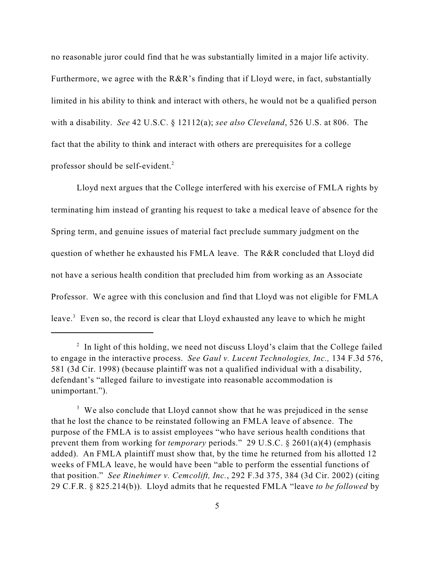no reasonable juror could find that he was substantially limited in a major life activity. Furthermore, we agree with the R&R's finding that if Lloyd were, in fact, substantially limited in his ability to think and interact with others, he would not be a qualified person with a disability. *See* 42 U.S.C. § 12112(a); *see also Cleveland*, 526 U.S. at 806. The fact that the ability to think and interact with others are prerequisites for a college professor should be self-evident.<sup>2</sup>

Lloyd next argues that the College interfered with his exercise of FMLA rights by terminating him instead of granting his request to take a medical leave of absence for the Spring term, and genuine issues of material fact preclude summary judgment on the question of whether he exhausted his FMLA leave. The R&R concluded that Lloyd did not have a serious health condition that precluded him from working as an Associate Professor. We agree with this conclusion and find that Lloyd was not eligible for FMLA leave.<sup>3</sup> Even so, the record is clear that Lloyd exhausted any leave to which he might

 $1$  In light of this holding, we need not discuss Lloyd's claim that the College failed to engage in the interactive process. *See Gaul v. Lucent Technologies, Inc.,* 134 F.3d 576, 581 (3d Cir. 1998) (because plaintiff was not a qualified individual with a disability, defendant's "alleged failure to investigate into reasonable accommodation is unimportant.").

 $3\,$  We also conclude that Lloyd cannot show that he was prejudiced in the sense that he lost the chance to be reinstated following an FMLA leave of absence. The purpose of the FMLA is to assist employees "who have serious health conditions that prevent them from working for *temporary* periods." 29 U.S.C. § 2601(a)(4) (emphasis added). An FMLA plaintiff must show that, by the time he returned from his allotted 12 weeks of FMLA leave, he would have been "able to perform the essential functions of that position." *See Rinehimer v. Cemcolift, Inc.*, 292 F.3d 375, 384 (3d Cir. 2002) (citing 29 C.F.R. § 825.214(b)). Lloyd admits that he requested FMLA "leave *to be followed* by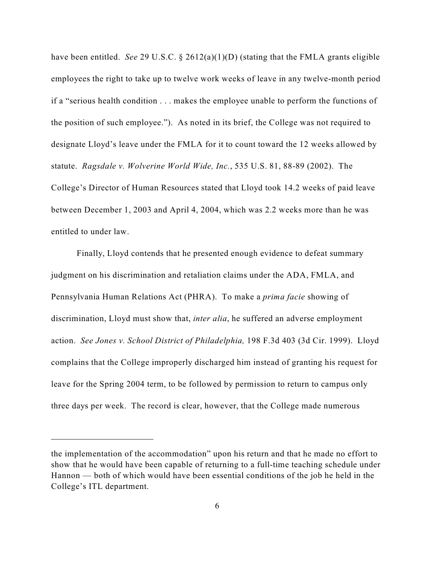have been entitled. *See* 29 U.S.C. § 2612(a)(1)(D) (stating that the FMLA grants eligible employees the right to take up to twelve work weeks of leave in any twelve-month period if a "serious health condition . . . makes the employee unable to perform the functions of the position of such employee."). As noted in its brief, the College was not required to designate Lloyd's leave under the FMLA for it to count toward the 12 weeks allowed by statute. *Ragsdale v. Wolverine World Wide, Inc.*, 535 U.S. 81, 88-89 (2002). The College's Director of Human Resources stated that Lloyd took 14.2 weeks of paid leave between December 1, 2003 and April 4, 2004, which was 2.2 weeks more than he was entitled to under law.

Finally, Lloyd contends that he presented enough evidence to defeat summary judgment on his discrimination and retaliation claims under the ADA, FMLA, and Pennsylvania Human Relations Act (PHRA). To make a *prima facie* showing of discrimination, Lloyd must show that, *inter alia*, he suffered an adverse employment action. *See Jones v. School District of Philadelphia,* 198 F.3d 403 (3d Cir. 1999). Lloyd complains that the College improperly discharged him instead of granting his request for leave for the Spring 2004 term, to be followed by permission to return to campus only three days per week. The record is clear, however, that the College made numerous

the implementation of the accommodation" upon his return and that he made no effort to show that he would have been capable of returning to a full-time teaching schedule under Hannon — both of which would have been essential conditions of the job he held in the College's ITL department.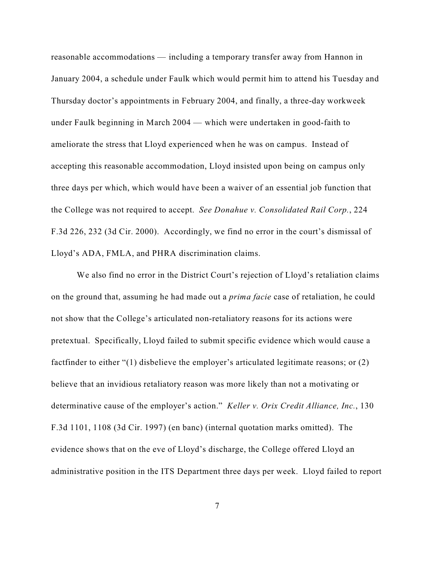reasonable accommodations — including a temporary transfer away from Hannon in January 2004, a schedule under Faulk which would permit him to attend his Tuesday and Thursday doctor's appointments in February 2004, and finally, a three-day workweek under Faulk beginning in March 2004 — which were undertaken in good-faith to ameliorate the stress that Lloyd experienced when he was on campus. Instead of accepting this reasonable accommodation, Lloyd insisted upon being on campus only three days per which, which would have been a waiver of an essential job function that the College was not required to accept. *See Donahue v. Consolidated Rail Corp.*, 224 F.3d 226, 232 (3d Cir. 2000). Accordingly, we find no error in the court's dismissal of Lloyd's ADA, FMLA, and PHRA discrimination claims.

We also find no error in the District Court's rejection of Lloyd's retaliation claims on the ground that, assuming he had made out a *prima facie* case of retaliation, he could not show that the College's articulated non-retaliatory reasons for its actions were pretextual. Specifically, Lloyd failed to submit specific evidence which would cause a factfinder to either "(1) disbelieve the employer's articulated legitimate reasons; or (2) believe that an invidious retaliatory reason was more likely than not a motivating or determinative cause of the employer's action." *Keller v. Orix Credit Alliance, Inc.*, 130 F.3d 1101, 1108 (3d Cir. 1997) (en banc) (internal quotation marks omitted). The evidence shows that on the eve of Lloyd's discharge, the College offered Lloyd an administrative position in the ITS Department three days per week. Lloyd failed to report